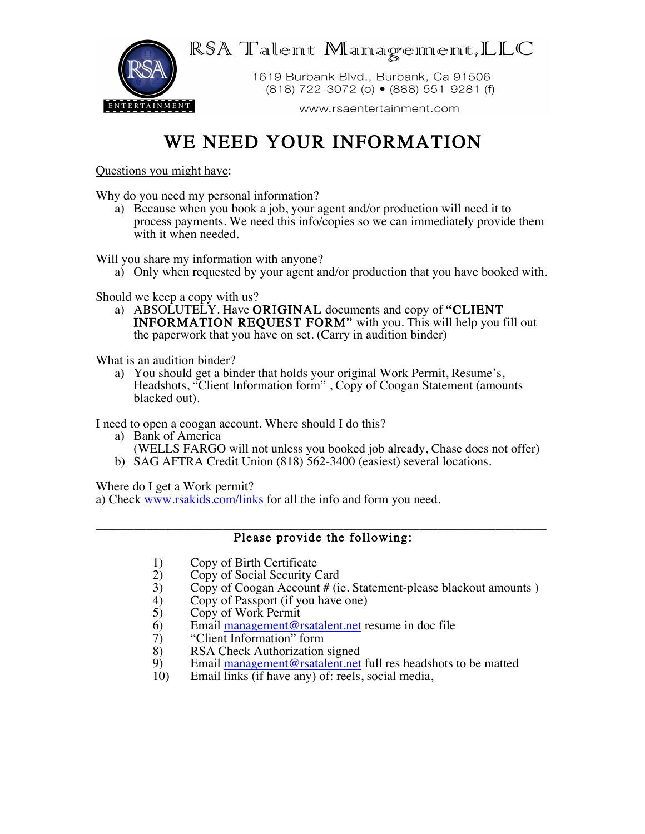$RSA$  Talent Managenener, LLC



1619 Burbank Blvd., Burbank, Ca 91506 (818) 722-3072 (o) • (888) 551-9281 (f)

www.rsaentertainment.com

## WE NEED YOUR INFORMATION

Questions you might have:

Why do you need my personal information?

a) Because when you book a job, your agent and/or production will need it to process payments. We need this info/copies so we can immediately provide them with it when needed.

Will you share my information with anyone?

a) Only when requested by your agent and/or production that you have booked with.

Should we keep a copy with us?

a) ABSOLUTELY. Have **ORIGINAL** documents and copy of "CLIENT" INFORMATION REQUEST FORM" with you. This will help you fill out the paperwork that you have on set. (Carry in audition binder)

What is an audition binder?

a) You should get a binder that holds your original Work Permit, Resume's, Headshots, "Client Information form" , Copy of Coogan Statement (amounts blacked out).

I need to open a coogan account. Where should I do this?

- a) Bank of America (WELLS FARGO will not unless you booked job already, Chase does not offer)
- b) SAG AFTRA Credit Union (818) 562-3400 (easiest) several locations.

Where do I get a Work permit?

a) Check www.rsakids.com/links for all the info and form you need.

## \_\_\_\_\_\_\_\_\_\_\_\_\_\_\_\_\_\_\_\_\_\_\_\_\_\_\_\_\_\_\_\_\_\_\_\_\_\_\_\_\_\_\_\_\_\_\_\_\_\_\_\_\_\_\_\_\_\_\_\_\_\_\_\_\_\_\_\_\_\_\_ Please provide the following:

- 1) Copy of Birth Certificate<br>2) Copy of Social Security (
- 2) Copy of Social Security Card<br>3) Copy of Coogan Account # (i)
- 3) Copy of Coogan Account # (ie. Statement-please blackout amounts )<br>4) Copy of Passport (if you have one)
- 4) Copy of Passport (if you have one)<br>5) Copy of Work Permit
- 
- 5) Copy of Work Permit<br>6) Email management@r 6) Email  $\frac{\text{management} @ \text{rsatalent.net}}{10}$  resume in doc file
- 7) "Client Information" form<br>8) RSA Check Authorization
- 8) RSA Check Authorization signed<br>9) Email management@rsatalent.net
- 9) Email management@rsatalent.net full res headshots to be matted 10) Email links (if have any) of: reels, social media,
- Email links (if have any) of: reels, social media,